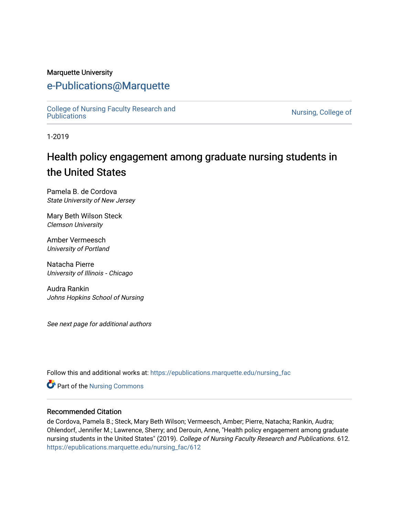#### Marquette University

# [e-Publications@Marquette](https://epublications.marquette.edu/)

[College of Nursing Faculty Research and](https://epublications.marquette.edu/nursing_fac)<br>Publications

Nursing, College of

1-2019

# Health policy engagement among graduate nursing students in the United States

Pamela B. de Cordova State University of New Jersey

Mary Beth Wilson Steck Clemson University

Amber Vermeesch University of Portland

Natacha Pierre University of Illinois ‐ Chicago

Audra Rankin Johns Hopkins School of Nursing

See next page for additional authors

Follow this and additional works at: [https://epublications.marquette.edu/nursing\\_fac](https://epublications.marquette.edu/nursing_fac?utm_source=epublications.marquette.edu%2Fnursing_fac%2F612&utm_medium=PDF&utm_campaign=PDFCoverPages)

Part of the [Nursing Commons](http://network.bepress.com/hgg/discipline/718?utm_source=epublications.marquette.edu%2Fnursing_fac%2F612&utm_medium=PDF&utm_campaign=PDFCoverPages) 

#### Recommended Citation

de Cordova, Pamela B.; Steck, Mary Beth Wilson; Vermeesch, Amber; Pierre, Natacha; Rankin, Audra; Ohlendorf, Jennifer M.; Lawrence, Sherry; and Derouin, Anne, "Health policy engagement among graduate nursing students in the United States" (2019). College of Nursing Faculty Research and Publications. 612. [https://epublications.marquette.edu/nursing\\_fac/612](https://epublications.marquette.edu/nursing_fac/612?utm_source=epublications.marquette.edu%2Fnursing_fac%2F612&utm_medium=PDF&utm_campaign=PDFCoverPages)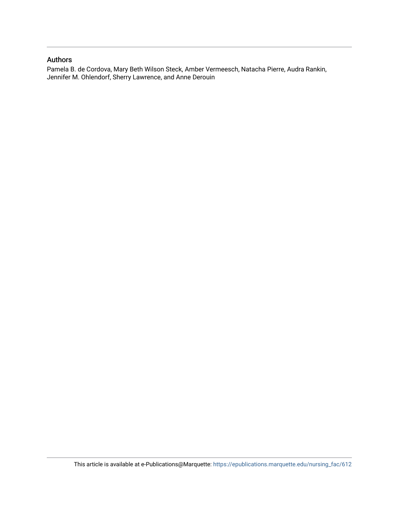#### Authors

Pamela B. de Cordova, Mary Beth Wilson Steck, Amber Vermeesch, Natacha Pierre, Audra Rankin, Jennifer M. Ohlendorf, Sherry Lawrence, and Anne Derouin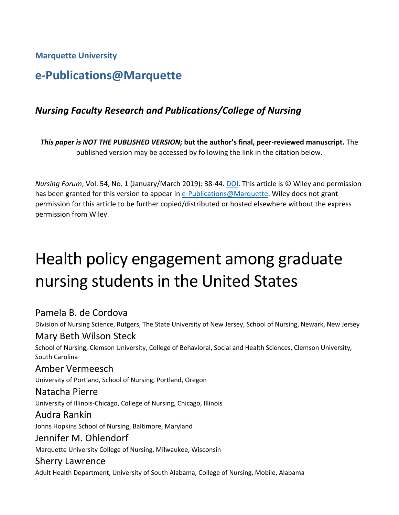**Marquette University**

# **e-Publications@Marquette**

# *Nursing Faculty Research and Publications/College of Nursing*

*This paper is NOT THE PUBLISHED VERSION;* **but the author's final, peer-reviewed manuscript.** The published version may be accessed by following the link in the citation below.

*Nursing Forum*, Vol. 54, No. 1 (January/March 2019): 38-44. DOI. This article is © Wiley and permission has been granted for this version to appear in [e-Publications@Marquette.](http://epublications.marquette.edu/) Wiley does not grant permission for this article to be further copied/distributed or hosted elsewhere without the express permission from Wiley.

# Health policy engagement among graduate nursing students in the United States

# Pamela B. de Cordova

Division of Nursing Science, Rutgers, The State University of New Jersey, School of Nursing, Newark, New Jersey

# Mary Beth Wilson Steck

School of Nursing, Clemson University, College of Behavioral, Social and Health Sciences, Clemson University, South Carolina

# Amber Vermeesch

University of Portland, School of Nursing, Portland, Oregon

#### Natacha Pierre

University of Illinois-Chicago, College of Nursing, Chicago, Illinois

### Audra Rankin

Johns Hopkins School of Nursing, Baltimore, Maryland

### Jennifer M. Ohlendorf

Marquette University College of Nursing, Milwaukee, Wisconsin

### Sherry Lawrence

Adult Health Department, University of South Alabama, College of Nursing, Mobile, Alabama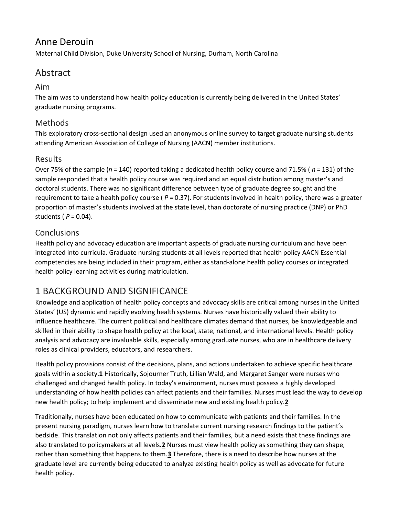# Anne Derouin

Maternal Child Division, Duke University School of Nursing, Durham, North Carolina

# Abstract

#### Aim

The aim was to understand how health policy education is currently being delivered in the United States' graduate nursing programs.

#### Methods

This exploratory cross-sectional design used an anonymous online survey to target graduate nursing students attending American Association of College of Nursing (AACN) member institutions.

### Results

Over 75% of the sample (*n* = 140) reported taking a dedicated health policy course and 71.5% ( *n* = 131) of the sample responded that a health policy course was required and an equal distribution among master's and doctoral students. There was no significant difference between type of graduate degree sought and the requirement to take a health policy course ( *P* = 0.37). For students involved in health policy, there was a greater proportion of master's students involved at the state level, than doctorate of nursing practice (DNP) or PhD students ( *P* = 0.04).

### Conclusions

Health policy and advocacy education are important aspects of graduate nursing curriculum and have been integrated into curricula. Graduate nursing students at all levels reported that health policy AACN Essential competencies are being included in their program, either as stand-alone health policy courses or integrated health policy learning activities during matriculation.

# 1 BACKGROUND AND SIGNIFICANCE

Knowledge and application of health policy concepts and advocacy skills are critical among nurses in the United States' (US) dynamic and rapidly evolving health systems. Nurses have historically valued their ability to influence healthcare. The current political and healthcare climates demand that nurses, be knowledgeable and skilled in their ability to shape health policy at the local, state, national, and international levels. Health policy analysis and advocacy are invaluable skills, especially among graduate nurses, who are in healthcare delivery roles as clinical providers, educators, and researchers.

Health policy provisions consist of the decisions, plans, and actions undertaken to achieve specific healthcare goals within a society.**[1](https://onlinelibrary.wiley.com/doi/full/10.1111/nuf.12295#nuf12295-bib-0001)** Historically, Sojourner Truth, Lillian Wald, and Margaret Sanger were nurses who challenged and changed health policy. In today's environment, nurses must possess a highly developed understanding of how health policies can affect patients and their families. Nurses must lead the way to develop new health policy; to help implement and disseminate new and existing health policy.**[2](https://onlinelibrary.wiley.com/doi/full/10.1111/nuf.12295#nuf12295-bib-0002)**

Traditionally, nurses have been educated on how to communicate with patients and their families. In the present nursing paradigm, nurses learn how to translate current nursing research findings to the patient's bedside. This translation not only affects patients and their families, but a need exists that these findings are also translated to policymakers at all levels.**[2](https://onlinelibrary.wiley.com/doi/full/10.1111/nuf.12295#nuf12295-bib-0002)** Nurses must view health policy as something they can shape, rather than something that happens to them.**[3](https://onlinelibrary.wiley.com/doi/full/10.1111/nuf.12295#nuf12295-bib-0003)** Therefore, there is a need to describe how nurses at the graduate level are currently being educated to analyze existing health policy as well as advocate for future health policy.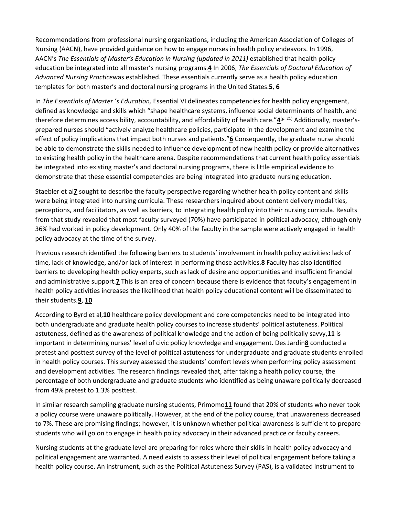Recommendations from professional nursing organizations, including the American Association of Colleges of Nursing (AACN), have provided guidance on how to engage nurses in health policy endeavors. In 1996, AACN's *The Essentials of Master's Education in Nursing (updated in 2011)* established that health policy education be integrated into all master's nursing programs.**[4](https://onlinelibrary.wiley.com/doi/full/10.1111/nuf.12295#nuf12295-bib-0004)** In 2006, *The Essentials of Doctoral Education of Advanced Nursing Practice*was established. These essentials currently serve as a health policy education templates for both master's and doctoral nursing programs in the United States.**[5](https://onlinelibrary.wiley.com/doi/full/10.1111/nuf.12295#nuf12295-bib-0005)**, **[6](https://onlinelibrary.wiley.com/doi/full/10.1111/nuf.12295#nuf12295-bib-0006)**

In *The Essentials of Master 's Education,* Essential VI delineates competencies for health policy engagement, defined as knowledge and skills which "shape healthcare systems, influence social determinants of health, and therefore determines accessibility, accountability, and affordability of health care."**[4](https://onlinelibrary.wiley.com/doi/full/10.1111/nuf.12295#nuf12295-bib-0004)**(p. 21) Additionally, master'sprepared nurses should "actively analyze healthcare policies, participate in the development and examine the effect of policy implications that impact both nurses and patients."**[6](https://onlinelibrary.wiley.com/doi/full/10.1111/nuf.12295#nuf12295-bib-0006)** Consequently, the graduate nurse should be able to demonstrate the skills needed to influence development of new health policy or provide alternatives to existing health policy in the healthcare arena. Despite recommendations that current health policy essentials be integrated into existing master's and doctoral nursing programs, there is little empirical evidence to demonstrate that these essential competencies are being integrated into graduate nursing education.

Staebler et al**[7](https://onlinelibrary.wiley.com/doi/full/10.1111/nuf.12295#nuf12295-bib-0007)** sought to describe the faculty perspective regarding whether health policy content and skills were being integrated into nursing curricula. These researchers inquired about content delivery modalities, perceptions, and facilitators, as well as barriers, to integrating health policy into their nursing curricula. Results from that study revealed that most faculty surveyed (70%) have participated in political advocacy, although only 36% had worked in policy development. Only 40% of the faculty in the sample were actively engaged in health policy advocacy at the time of the survey.

Previous research identified the following barriers to students' involvement in health policy activities: lack of time, lack of knowledge, and/or lack of interest in performing those activities.**[8](https://onlinelibrary.wiley.com/doi/full/10.1111/nuf.12295#nuf12295-bib-0008)** Faculty has also identified barriers to developing health policy experts, such as lack of desire and opportunities and insufficient financial and administrative support.**[7](https://onlinelibrary.wiley.com/doi/full/10.1111/nuf.12295#nuf12295-bib-0007)** This is an area of concern because there is evidence that faculty's engagement in health policy activities increases the likelihood that health policy educational content will be disseminated to their students.**[9](https://onlinelibrary.wiley.com/doi/full/10.1111/nuf.12295#nuf12295-bib-0009)**, **[10](https://onlinelibrary.wiley.com/doi/full/10.1111/nuf.12295#nuf12295-bib-0010)**

According to Byrd et al,**[10](https://onlinelibrary.wiley.com/doi/full/10.1111/nuf.12295#nuf12295-bib-0010)** healthcare policy development and core competencies need to be integrated into both undergraduate and graduate health policy courses to increase students' political astuteness. Political astuteness, defined as the awareness of political knowledge and the action of being politically savvy,**[11](https://onlinelibrary.wiley.com/doi/full/10.1111/nuf.12295#nuf12295-bib-0011)** is important in determining nurses' level of civic policy knowledge and engagement. Des Jardin**[8](https://onlinelibrary.wiley.com/doi/full/10.1111/nuf.12295#nuf12295-bib-0008)** conducted a pretest and posttest survey of the level of political astuteness for undergraduate and graduate students enrolled in health policy courses. This survey assessed the students' comfort levels when performing policy assessment and development activities. The research findings revealed that, after taking a health policy course, the percentage of both undergraduate and graduate students who identified as being unaware politically decreased from 49% pretest to 1.3% posttest.

In similar research sampling graduate nursing students, Primomo**[11](https://onlinelibrary.wiley.com/doi/full/10.1111/nuf.12295#nuf12295-bib-0011)** found that 20% of students who never took a policy course were unaware politically. However, at the end of the policy course, that unawareness decreased to 7%. These are promising findings; however, it is unknown whether political awareness is sufficient to prepare students who will go on to engage in health policy advocacy in their advanced practice or faculty careers.

Nursing students at the graduate level are preparing for roles where their skills in health policy advocacy and political engagement are warranted. A need exists to assess their level of political engagement before taking a health policy course. An instrument, such as the Political Astuteness Survey (PAS), is a validated instrument to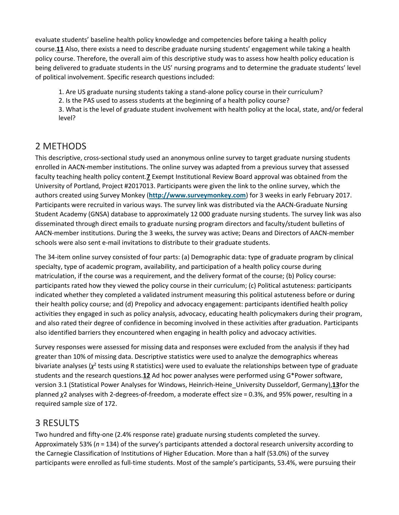evaluate students' baseline health policy knowledge and competencies before taking a health policy course.**[11](https://onlinelibrary.wiley.com/doi/full/10.1111/nuf.12295#nuf12295-bib-0011)** Also, there exists a need to describe graduate nursing students' engagement while taking a health policy course. Therefore, the overall aim of this descriptive study was to assess how health policy education is being delivered to graduate students in the US' nursing programs and to determine the graduate students' level of political involvement. Specific research questions included:

1. Are US graduate nursing students taking a stand-alone policy course in their curriculum?

2. Is the PAS used to assess students at the beginning of a health policy course?

3. What is the level of graduate student involvement with health policy at the local, state, and/or federal level?

# 2 METHODS

This descriptive, cross-sectional study used an anonymous online survey to target graduate nursing students enrolled in AACN-member institutions. The online survey was adapted from a previous survey that assessed faculty teaching health policy content.**[7](https://onlinelibrary.wiley.com/doi/full/10.1111/nuf.12295#nuf12295-bib-0007)** Exempt Institutional Review Board approval was obtained from the University of Portland, Project #2017013. Participants were given the link to the online survey, which the authors created using Survey Monkey (**[http://www.surveymonkey.com](http://www.surveymonkey.com/)**) for 3 weeks in early February 2017. Participants were recruited in various ways. The survey link was distributed via the AACN-Graduate Nursing Student Academy (GNSA) database to approximately 12 000 graduate nursing students. The survey link was also disseminated through direct emails to graduate nursing program directors and faculty/student bulletins of AACN-member institutions. During the 3 weeks, the survey was active; Deans and Directors of AACN-member schools were also sent e-mail invitations to distribute to their graduate students.

The 34-item online survey consisted of four parts: (a) Demographic data: type of graduate program by clinical specialty, type of academic program, availability, and participation of a health policy course during matriculation, if the course was a requirement, and the delivery format of the course; (b) Policy course: participants rated how they viewed the policy course in their curriculum; (c) Political astuteness: participants indicated whether they completed a validated instrument measuring this political astuteness before or during their health policy course; and (d) Prepolicy and advocacy engagement: participants identified health policy activities they engaged in such as policy analysis, advocacy, educating health policymakers during their program, and also rated their degree of confidence in becoming involved in these activities after graduation. Participants also identified barriers they encountered when engaging in health policy and advocacy activities.

Survey responses were assessed for missing data and responses were excluded from the analysis if they had greater than 10% of missing data. Descriptive statistics were used to analyze the demographics whereas bivariate analyses ( $\chi^2$  tests using R statistics) were used to evaluate the relationships between type of graduate students and the research questions.**[12](https://onlinelibrary.wiley.com/doi/full/10.1111/nuf.12295#nuf12295-bib-0012)** Ad hoc power analyses were performed using G\*Power software, version 3.1 (Statistical Power Analyses for Windows, Heinrich-Heine\_University Dusseldorf, Germany),**[13](https://onlinelibrary.wiley.com/doi/full/10.1111/nuf.12295#nuf12295-bib-0013)**for the planned *χ*2 analyses with 2‐degrees‐of‐freedom, a moderate effect size = 0.3%, and 95% power, resulting in a required sample size of 172.

# 3 RESULTS

Two hundred and fifty-one (2.4% response rate) graduate nursing students completed the survey. Approximately 53% (*n* = 134) of the survey's participants attended a doctoral research university according to the Carnegie Classification of Institutions of Higher Education. More than a half (53.0%) of the survey participants were enrolled as full-time students. Most of the sample's participants, 53.4%, were pursuing their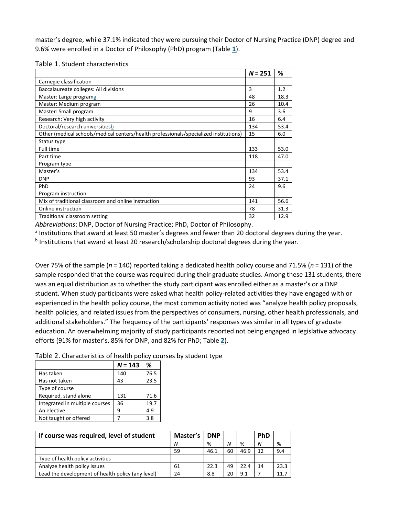master's degree, while 37.1% indicated they were pursuing their Doctor of Nursing Practice (DNP) degree and 9.6% were enrolled in a Doctor of Philosophy (PhD) program (Table **[1](https://onlinelibrary.wiley.com/doi/full/10.1111/nuf.12295#nuf12295-tbl-0001)**).

|                                                                                       | $N = 251$ | %    |
|---------------------------------------------------------------------------------------|-----------|------|
| Carnegie classification                                                               |           |      |
| Baccalaureate colleges: All divisions                                                 | 3         | 1.2  |
| Master: Large programa                                                                | 48        | 18.3 |
| Master: Medium program                                                                | 26        | 10.4 |
| Master: Small program                                                                 | 9         | 3.6  |
| Research: Very high activity                                                          | 16        | 6.4  |
| Doctoral/research universitiesb                                                       | 134       | 53.4 |
| Other (medical schools/medical centers/health professionals/specialized institutions) | 15        | 6.0  |
| Status type                                                                           |           |      |
| Full time                                                                             | 133       | 53.0 |
| Part time                                                                             | 118       | 47.0 |
| Program type                                                                          |           |      |
| Master's                                                                              | 134       | 53.4 |
| <b>DNP</b>                                                                            | 93        | 37.1 |
| PhD                                                                                   | 24        | 9.6  |
| Program instruction                                                                   |           |      |
| Mix of traditional classroom and online instruction                                   | 141       | 56.6 |
| Online instruction                                                                    | 78        | 31.3 |
| Traditional classroom setting                                                         | 32        | 12.9 |

#### Table 1. Student characteristics

*Abbreviations*: DNP, Doctor of Nursing Practice; PhD, Doctor of Philosophy.

<sup>a</sup> Institutions that award at least 50 master's degrees and fewer than 20 doctoral degrees during the year.

b Institutions that award at least 20 research/scholarship doctoral degrees during the year.

Over 75% of the sample (*n* = 140) reported taking a dedicated health policy course and 71.5% (*n* = 131) of the sample responded that the course was required during their graduate studies. Among these 131 students, there was an equal distribution as to whether the study participant was enrolled either as a master's or a DNP student. When study participants were asked what health policy-related activities they have engaged with or experienced in the health policy course, the most common activity noted was "analyze health policy proposals, health policies, and related issues from the perspectives of consumers, nursing, other health professionals, and additional stakeholders." The frequency of the participants' responses was similar in all types of graduate education. An overwhelming majority of study participants reported not being engaged in legislative advocacy efforts (91% for master's, 85% for DNP, and 82% for PhD; Table **[2](https://onlinelibrary.wiley.com/doi/full/10.1111/nuf.12295#nuf12295-tbl-0002)**).

Table 2. Characteristics of health policy courses by student type

|                                | $N = 143$ | ℅    |
|--------------------------------|-----------|------|
| Has taken                      | 140       | 76.5 |
| Has not taken                  | 43        | 23.5 |
| Type of course                 |           |      |
| Required, stand alone          | 131       | 71.6 |
| Integrated in multiple courses | 36        | 19.7 |
| An elective                    | q         | 4.9  |
| Not taught or offered          |           | 3.8  |

| If course was required, level of student          | Master's | <b>DNP</b> |    |      | <b>PhD</b> |      |
|---------------------------------------------------|----------|------------|----|------|------------|------|
|                                                   | N        | %          | N  | %    | N          | %    |
|                                                   | 59       | 46.1       | 60 | 46.9 | 12         | 9.4  |
| Type of health policy activities                  |          |            |    |      |            |      |
| Analyze health policy issues                      | 61       | 22.3       | 49 | 22.4 | 14         | 23.3 |
| Lead the development of health policy (any level) | 24       | 8.8        | 20 | 9.1  |            | 11.7 |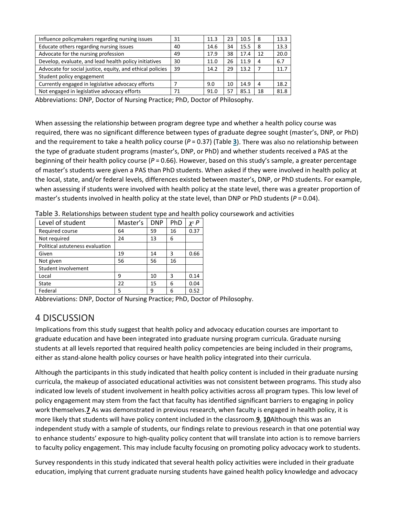| Influence policymakers regarding nursing issues           | 31 | 11.3 | 23 | 10.5 | 8  | 13.3 |
|-----------------------------------------------------------|----|------|----|------|----|------|
| Educate others regarding nursing issues                   | 40 | 14.6 | 34 | 15.5 | 8  | 13.3 |
| Advocate for the nursing profession                       | 49 | 17.9 | 38 | 17.4 | 12 | 20.0 |
| Develop, evaluate, and lead health policy initiatives     | 30 | 11.0 | 26 | 11.9 | 4  | 6.7  |
| Advocate for social justice, equity, and ethical policies | 39 | 14.2 | 29 | 13.2 |    | 11.7 |
| Student policy engagement                                 |    |      |    |      |    |      |
| Currently engaged in legislative advocacy efforts         |    | 9.0  | 10 | 14.9 | 4  | 18.2 |
| Not engaged in legislative advocacy efforts               | 71 | 91.0 | 57 | 85.1 | 18 | 81.8 |
|                                                           |    |      |    |      |    |      |

Abbreviations: DNP, Doctor of Nursing Practice; PhD, Doctor of Philosophy.

When assessing the relationship between program degree type and whether a health policy course was required, there was no significant difference between types of graduate degree sought (master's, DNP, or PhD) and the requirement to take a health policy course (*P* = 0.37) (Table **[3](https://onlinelibrary.wiley.com/doi/full/10.1111/nuf.12295#nuf12295-tbl-0003)**). There was also no relationship between the type of graduate student programs (master's, DNP, or PhD) and whether students received a PAS at the beginning of their health policy course (*P* = 0.66). However, based on this study's sample, a greater percentage of master's students were given a PAS than PhD students. When asked if they were involved in health policy at the local, state, and/or federal levels, differences existed between master's, DNP, or PhD students. For example, when assessing if students were involved with health policy at the state level, there was a greater proportion of master's students involved in health policy at the state level, than DNP or PhD students ( $P = 0.04$ ).

| Level of student                | Master's | <b>DNP</b> | PhD | y2 P |
|---------------------------------|----------|------------|-----|------|
| Required course                 | 64       | 59         | 16  | 0.37 |
| Not required                    | 24       | 13         | 6   |      |
| Political astuteness evaluation |          |            |     |      |
| Given                           | 19       | 14         | 3   | 0.66 |
| Not given                       | 56       | 56         | 16  |      |
| Student involvement             |          |            |     |      |
| Local                           | 9        | 10         | 3   | 0.14 |
| State                           | 22       | 15         | 6   | 0.04 |
| Federal                         | 5        | ٩          | 6   | 0.52 |

Table 3. Relationships between student type and health policy coursework and activities

Abbreviations: DNP, Doctor of Nursing Practice; PhD, Doctor of Philosophy.

# 4 DISCUSSION

Implications from this study suggest that health policy and advocacy education courses are important to graduate education and have been integrated into graduate nursing program curricula. Graduate nursing students at all levels reported that required health policy competencies are being included in their programs, either as stand-alone health policy courses or have health policy integrated into their curricula.

Although the participants in this study indicated that health policy content is included in their graduate nursing curricula, the makeup of associated educational activities was not consistent between programs. This study also indicated low levels of student involvement in health policy activities across all program types. This low level of policy engagement may stem from the fact that faculty has identified significant barriers to engaging in policy work themselves.**[7](https://onlinelibrary.wiley.com/doi/full/10.1111/nuf.12295#nuf12295-bib-0007)** As was demonstrated in previous research, when faculty is engaged in health policy, it is more likely that students will have policy content included in the classroom.**[9](https://onlinelibrary.wiley.com/doi/full/10.1111/nuf.12295#nuf12295-bib-0009)**, **[10](https://onlinelibrary.wiley.com/doi/full/10.1111/nuf.12295#nuf12295-bib-0010)**Although this was an independent study with a sample of students, our findings relate to previous research in that one potential way to enhance students' exposure to high-quality policy content that will translate into action is to remove barriers to faculty policy engagement. This may include faculty focusing on promoting policy advocacy work to students.

Survey respondents in this study indicated that several health policy activities were included in their graduate education, implying that current graduate nursing students have gained health policy knowledge and advocacy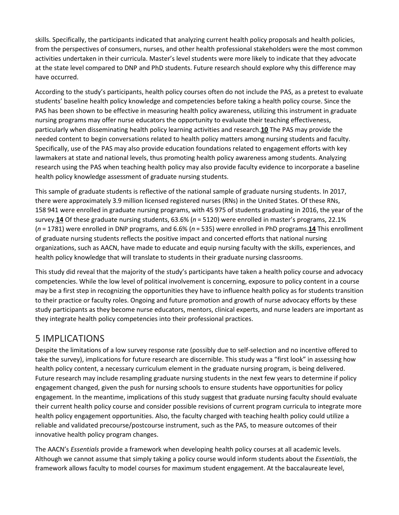skills. Specifically, the participants indicated that analyzing current health policy proposals and health policies, from the perspectives of consumers, nurses, and other health professional stakeholders were the most common activities undertaken in their curricula. Master's level students were more likely to indicate that they advocate at the state level compared to DNP and PhD students. Future research should explore why this difference may have occurred.

According to the study's participants, health policy courses often do not include the PAS, as a pretest to evaluate students' baseline health policy knowledge and competencies before taking a health policy course. Since the PAS has been shown to be effective in measuring health policy awareness, utilizing this instrument in graduate nursing programs may offer nurse educators the opportunity to evaluate their teaching effectiveness, particularly when disseminating health policy learning activities and research.**[10](https://onlinelibrary.wiley.com/doi/full/10.1111/nuf.12295#nuf12295-bib-0010)** The PAS may provide the needed content to begin conversations related to health policy matters among nursing students and faculty. Specifically, use of the PAS may also provide education foundations related to engagement efforts with key lawmakers at state and national levels, thus promoting health policy awareness among students. Analyzing research using the PAS when teaching health policy may also provide faculty evidence to incorporate a baseline health policy knowledge assessment of graduate nursing students.

This sample of graduate students is reflective of the national sample of graduate nursing students. In 2017, there were approximately 3.9 million licensed registered nurses (RNs) in the United States. Of these RNs, 158 941 were enrolled in graduate nursing programs, with 45 975 of students graduating in 2016, the year of the survey.**[14](https://onlinelibrary.wiley.com/doi/full/10.1111/nuf.12295#nuf12295-bib-0014)** Of these graduate nursing students, 63.6% (*n* = 5120) were enrolled in master's programs, 22.1% (*n* = 1781) were enrolled in DNP programs, and 6.6% (*n* = 535) were enrolled in PhD programs.**[14](https://onlinelibrary.wiley.com/doi/full/10.1111/nuf.12295#nuf12295-bib-0014)** This enrollment of graduate nursing students reflects the positive impact and concerted efforts that national nursing organizations, such as AACN, have made to educate and equip nursing faculty with the skills, experiences, and health policy knowledge that will translate to students in their graduate nursing classrooms.

This study did reveal that the majority of the study's participants have taken a health policy course and advocacy competencies. While the low level of political involvement is concerning, exposure to policy content in a course may be a first step in recognizing the opportunities they have to influence health policy as for students transition to their practice or faculty roles. Ongoing and future promotion and growth of nurse advocacy efforts by these study participants as they become nurse educators, mentors, clinical experts, and nurse leaders are important as they integrate health policy competencies into their professional practices.

# 5 IMPLICATIONS

Despite the limitations of a low survey response rate (possibly due to self-selection and no incentive offered to take the survey), implications for future research are discernible. This study was a "first look" in assessing how health policy content, a necessary curriculum element in the graduate nursing program, is being delivered. Future research may include resampling graduate nursing students in the next few years to determine if policy engagement changed, given the push for nursing schools to ensure students have opportunities for policy engagement. In the meantime, implications of this study suggest that graduate nursing faculty should evaluate their current health policy course and consider possible revisions of current program curricula to integrate more health policy engagement opportunities. Also, the faculty charged with teaching health policy could utilize a reliable and validated precourse/postcourse instrument, such as the PAS, to measure outcomes of their innovative health policy program changes.

The AACN's *Essentials* provide a framework when developing health policy courses at all academic levels. Although we cannot assume that simply taking a policy course would inform students about the *Essentials*, the framework allows faculty to model courses for maximum student engagement. At the baccalaureate level,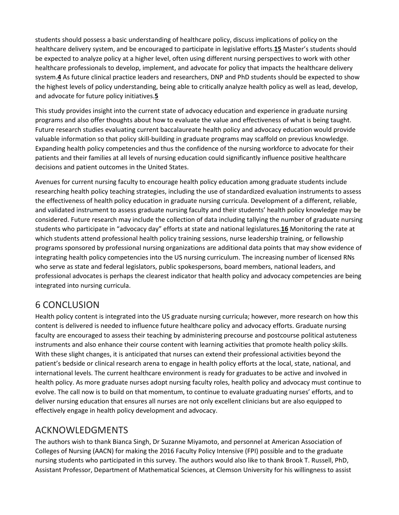students should possess a basic understanding of healthcare policy, discuss implications of policy on the healthcare delivery system, and be encouraged to participate in legislative efforts.**[15](https://onlinelibrary.wiley.com/doi/full/10.1111/nuf.12295#nuf12295-bib-0015)** Master's students should be expected to analyze policy at a higher level, often using different nursing perspectives to work with other healthcare professionals to develop, implement, and advocate for policy that impacts the healthcare delivery system.**[4](https://onlinelibrary.wiley.com/doi/full/10.1111/nuf.12295#nuf12295-bib-0004)** As future clinical practice leaders and researchers, DNP and PhD students should be expected to show the highest levels of policy understanding, being able to critically analyze health policy as well as lead, develop, and advocate for future policy initiatives.**[5](https://onlinelibrary.wiley.com/doi/full/10.1111/nuf.12295#nuf12295-bib-0005)**

This study provides insight into the current state of advocacy education and experience in graduate nursing programs and also offer thoughts about how to evaluate the value and effectiveness of what is being taught. Future research studies evaluating current baccalaureate health policy and advocacy education would provide valuable information so that policy skill-building in graduate programs may scaffold on previous knowledge. Expanding health policy competencies and thus the confidence of the nursing workforce to advocate for their patients and their families at all levels of nursing education could significantly influence positive healthcare decisions and patient outcomes in the United States.

Avenues for current nursing faculty to encourage health policy education among graduate students include researching health policy teaching strategies, including the use of standardized evaluation instruments to assess the effectiveness of health policy education in graduate nursing curricula. Development of a different, reliable, and validated instrument to assess graduate nursing faculty and their students' health policy knowledge may be considered. Future research may include the collection of data including tallying the number of graduate nursing students who participate in "advocacy day" efforts at state and national legislatures.**[16](https://onlinelibrary.wiley.com/doi/full/10.1111/nuf.12295#nuf12295-bib-0016)** Monitoring the rate at which students attend professional health policy training sessions, nurse leadership training, or fellowship programs sponsored by professional nursing organizations are additional data points that may show evidence of integrating health policy competencies into the US nursing curriculum. The increasing number of licensed RNs who serve as state and federal legislators, public spokespersons, board members, national leaders, and professional advocates is perhaps the clearest indicator that health policy and advocacy competencies are being integrated into nursing curricula.

# 6 CONCLUSION

Health policy content is integrated into the US graduate nursing curricula; however, more research on how this content is delivered is needed to influence future healthcare policy and advocacy efforts. Graduate nursing faculty are encouraged to assess their teaching by administering precourse and postcourse political astuteness instruments and also enhance their course content with learning activities that promote health policy skills. With these slight changes, it is anticipated that nurses can extend their professional activities beyond the patient's bedside or clinical research arena to engage in health policy efforts at the local, state, national, and international levels. The current healthcare environment is ready for graduates to be active and involved in health policy. As more graduate nurses adopt nursing faculty roles, health policy and advocacy must continue to evolve. The call now is to build on that momentum, to continue to evaluate graduating nurses' efforts, and to deliver nursing education that ensures all nurses are not only excellent clinicians but are also equipped to effectively engage in health policy development and advocacy.

# ACKNOWLEDGMENTS

The authors wish to thank Bianca Singh, Dr Suzanne Miyamoto, and personnel at American Association of Colleges of Nursing (AACN) for making the 2016 Faculty Policy Intensive (FPI) possible and to the graduate nursing students who participated in this survey. The authors would also like to thank Brook T. Russell, PhD, Assistant Professor, Department of Mathematical Sciences, at Clemson University for his willingness to assist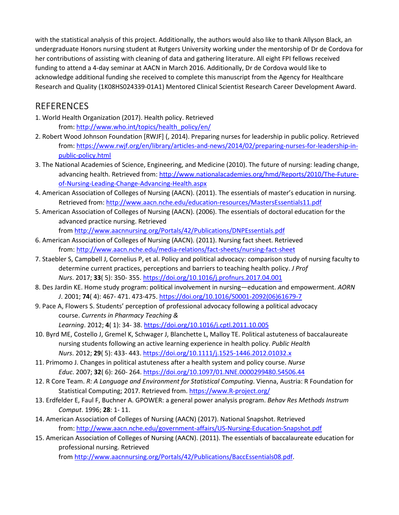with the statistical analysis of this project. Additionally, the authors would also like to thank Allyson Black, an undergraduate Honors nursing student at Rutgers University working under the mentorship of Dr de Cordova for her contributions of assisting with cleaning of data and gathering literature. All eight FPI fellows received funding to attend a 4-day seminar at AACN in March 2016. Additionally, Dr de Cordova would like to acknowledge additional funding she received to complete this manuscript from the Agency for Healthcare Research and Quality (1K08HS024339-01A1) Mentored Clinical Scientist Research Career Development Award.

# REFERENCES

- 1. World Health Organization (2017). Health policy. Retrieved from: [http://www.who.int/topics/health\\_policy/en/](http://www.who.int/topics/health_policy/en/)
- 2. Robert Wood Johnson Foundation [RWJF] (, 2014). Preparing nurses for leadership in public policy. Retrieved from: [https://www.rwjf.org/en/library/articles-and-news/2014/02/preparing-nurses-for-leadership-in](https://www.rwjf.org/en/library/articles-and-news/2014/02/preparing-nurses-for-leadership-in-public-policy.html)[public-policy.html](https://www.rwjf.org/en/library/articles-and-news/2014/02/preparing-nurses-for-leadership-in-public-policy.html)
- 3. The National Academies of Science, Engineering, and Medicine (2010). The future of nursing: leading change, advancing health. Retrieved from: [http://www.nationalacademies.org/hmd/Reports/2010/The-](http://www.nationalacademies.org/hmd/Reports/2010/The-Future-of-Nursing-Leading-Change-Advancing-Health.aspx)Future[of-Nursing-Leading-Change-Advancing-Health.aspx](http://www.nationalacademies.org/hmd/Reports/2010/The-Future-of-Nursing-Leading-Change-Advancing-Health.aspx)
- 4. American Association of Colleges of Nursing (AACN). (2011). The essentials of master's education in nursing. Retrieved from: <http://www.aacn.nche.edu/education-resources/MastersEssentials11.pdf>
- 5. American Association of Colleges of Nursing (AACN). (2006). The essentials of doctoral education for the advanced practice nursing. Retrieved from <http://www.aacnnursing.org/Portals/42/Publications/DNPEssentials.pdf>
- 6. American Association of Colleges of Nursing (AACN). (2011). Nursing fact sheet. Retrieved from: <http://www.aacn.nche.edu/media-relations/fact-sheets/nursing-fact-sheet>
- 7. Staebler S, Campbell J, Cornelius P, et al. Policy and political advocacy: comparison study of nursing faculty to determine current practices, perceptions and barriers to teaching health policy. *J Prof Nurs*. 2017; **33**( 5): 350- 355. <https://doi.org/10.1016/j.profnurs.2017.04.001>
- 8. Des Jardin KE. Home study program: political involvement in nursing—education and empowerment. *AORN J*. 2001; **74**( 4): 467- 471. 473-475. [https://doi.org/10.1016/S0001-2092\(06\)61679-7](https://doi.org/10.1016/S0001-2092(06)61679-7)
- 9. Pace A, Flowers S. Students' perception of professional advocacy following a political advocacy course. *Currents in Pharmacy Teaching & Learning*. 2012; **4**( 1): 34- 38. <https://doi.org/10.1016/j.cptl.2011.10.005>
- 10. Byrd ME, Costello J, Gremel K, Schwager J, Blanchette L, Malloy TE. Political astuteness of baccalaureate nursing students following an active learning experience in health policy. *Public Health Nurs*. 2012; **29**( 5): 433- 443. <https://doi.org/10.1111/j.1525-1446.2012.01032.x>
- 11. Primomo J. Changes in political astuteness after a health system and policy course. *Nurse Educ*. 2007; **32**( 6): 260- 264. <https://doi.org/10.1097/01.NNE.0000299480.54506.44>
- 12. R Core Team. *R: A Language and Environment for Statistical Computing*. Vienna, Austria: R Foundation for Statistical Computing; 2017. Retrieved from. [https://www.R-project.org/](https://www.r-project.org/)
- 13. Erdfelder E, Faul F, Buchner A. GPOWER: a general power analysis program. *Behav Res Methods Instrum Comput*. 1996; **28**: 1- 11.
- 14. American Association of Colleges of Nursing (AACN) (2017). National Snapshot. Retrieved from: <http://www.aacn.nche.edu/government-affairs/US-Nursing-Education-Snapshot.pdf>
- 15. American Association of Colleges of Nursing (AACN). (2011). The essentials of baccalaureate education for professional nursing. Retrieved from [http://www.aacnnursing.org/Portals/42/Publications/BaccEssentials08.pdf.](http://www.aacnnursing.org/Portals/42/Publications/BaccEssentials08.pdf)